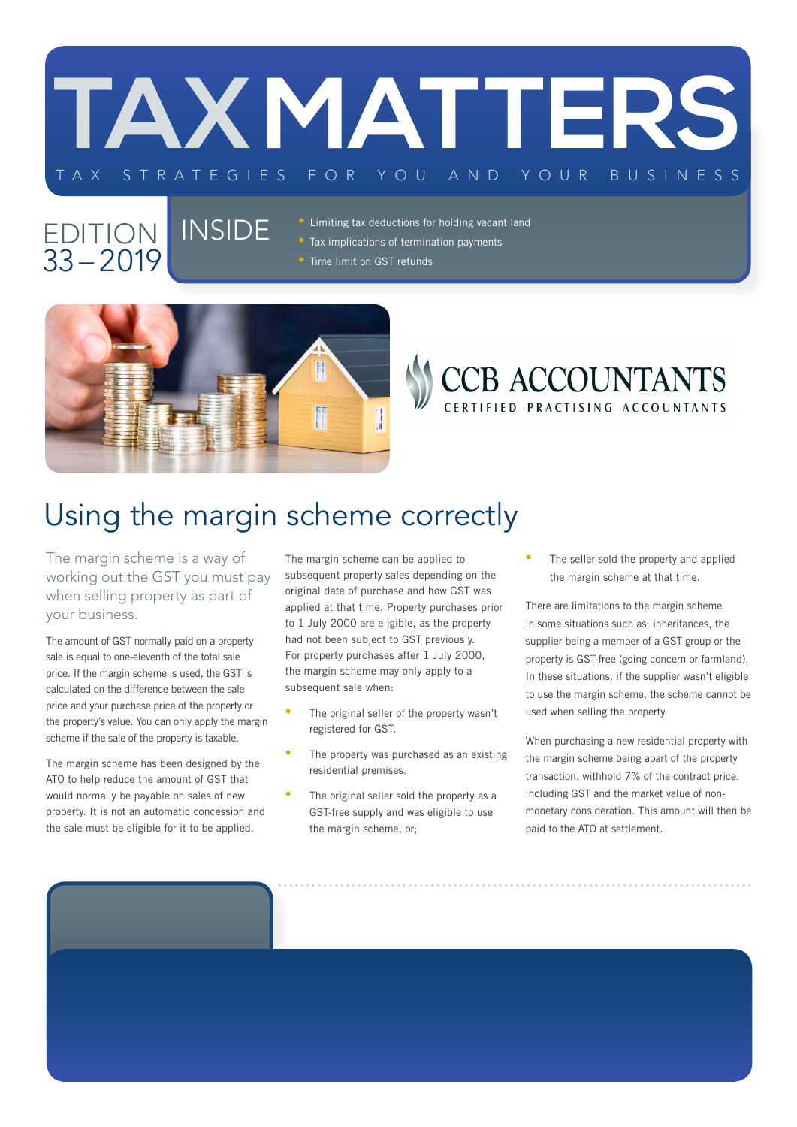

### EDITION | INSIDE  $33 - 2019$

• Limiting tax deductions for holding vacant land • Tax implications of termination payments **•** Time limit on GST refunds



### CCB ACCOUNTANTS CERTIFIED PRACTISING ACCOUNTANTS

## Using the margin scheme correctly

The margin scheme is a way of working out the GST you must pay when selling property as part of your business.

The amount of GST normally paid on a property sale is equal to one-eleventh of the total sale price. If the margin scheme is used, the GST is calculated on the difference between the sale price and your purchase price of the property or the property's value. You can only apply the margin scheme if the sale of the property is taxable.

The margin scheme has been designed by the ATO to help reduce the amount of GST that would normally be payable on sales of new property. It is not an automatic concession and the sale must be eligible for it to be applied.

The margin scheme can be applied to subsequent property sales depending on the original date of purchase and how GST was applied at that time. Property purchases prior to 1 July 2000 are eligible, as the property had not been subject to GST previously. For property purchases after 1 July 2000, the margin scheme may only apply to a subsequent sale when:

- The original seller of the property wasn't registered for GST.
- The property was purchased as an existing residential premises.
- The original seller sold the property as a GST-free supply and was eligible to use the margin scheme, or;

The seller sold the property and applied the margin scheme at that time.

There are limitations to the margin scheme in some situations such as; inheritances, the supplier being a member of a GST group or the property is GST-free (going concern or farmland). In these situations, if the supplier wasn't eligible to use the margin scheme, the scheme cannot be used when selling the property.

When purchasing a new residential property with the margin scheme being apart of the property transaction, withhold 7% of the contract price, including GST and the market value of nonmonetary consideration. This amount will then be paid to the ATO at settlement.